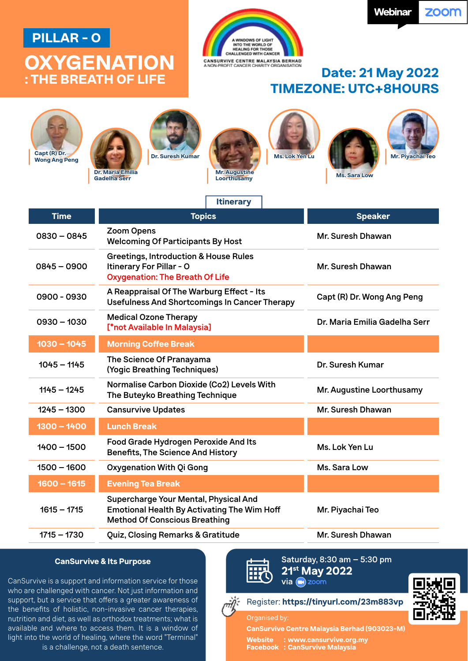# **PILLAR - O**

# **OXYGENATION**



# **: THE BREATH OF LIFE Date: 21 May 2022 TIMEZONE: UTC+8HOURS**

| Capt (R) Dr.<br><b>Wong Ang Peng</b> | <b>Ms. Lok Yen Lu</b><br><b>Dr. Suresh Kumar</b><br><b>Dr. Maria Emilia</b><br><b>Mr. Augustine</b><br><b>Gadelha Serr</b><br><b>Loorthusamy</b> | <b>Mr. Piyachai Teo</b><br><b>Ms. Sara Low</b> |
|--------------------------------------|--------------------------------------------------------------------------------------------------------------------------------------------------|------------------------------------------------|
|                                      | <b>Itinerary</b>                                                                                                                                 |                                                |
| <b>Time</b>                          | <b>Topics</b>                                                                                                                                    | <b>Speaker</b>                                 |
| $0830 - 0845$                        | <b>Zoom Opens</b><br><b>Welcoming Of Participants By Host</b>                                                                                    | Mr. Suresh Dhawan                              |
| $0845 - 0900$                        | <b>Greetings, Introduction &amp; House Rules</b><br>Itinerary For Pillar - O<br><b>Oxygenation: The Breath Of Life</b>                           | Mr. Suresh Dhawan                              |
| 0900 - 0930                          | A Reappraisal Of The Warburg Effect - Its<br><b>Usefulness And Shortcomings In Cancer Therapy</b>                                                | Capt (R) Dr. Wong Ang Peng                     |
| $0930 - 1030$                        | <b>Medical Ozone Therapy</b><br>[*not Available In Malaysia]                                                                                     | Dr. Maria Emilia Gadelha Serr                  |
| $1030 - 1045$                        | <b>Morning Coffee Break</b>                                                                                                                      |                                                |
| $1045 - 1145$                        | The Science Of Pranayama<br>(Yogic Breathing Techniques)                                                                                         | Dr. Suresh Kumar                               |
| $1145 - 1245$                        | Normalise Carbon Dioxide (Co2) Levels With<br>The Buteyko Breathing Technique                                                                    | Mr. Augustine Loorthusamy                      |
| $1245 - 1300$                        | <b>Cansurvive Updates</b>                                                                                                                        | Mr. Suresh Dhawan                              |
| $1300 - 1400$                        | <b>Lunch Break</b>                                                                                                                               |                                                |
| $1400 - 1500$                        | Food Grade Hydrogen Peroxide And Its<br><b>Benefits, The Science And History</b>                                                                 | Ms. Lok Yen Lu                                 |
| $1500 - 1600$                        | Oxygenation With Qi Gong                                                                                                                         | Ms. Sara Low                                   |
| $1600 - 1615$                        | <b>Evening Tea Break</b>                                                                                                                         |                                                |
| $1615 - 1715$                        | Supercharge Your Mental, Physical And<br><b>Emotional Health By Activating The Wim Hoff</b><br><b>Method Of Conscious Breathing</b>              | Mr. Piyachai Teo                               |
| $1715 - 1730$                        | Quiz, Closing Remarks & Gratitude                                                                                                                | Mr. Suresh Dhawan                              |
|                                      |                                                                                                                                                  |                                                |

### **CanSurvive & Its Purpose**

CanSurvive is a support and information service for those who are challenged with cancer. Not just information and support, but a service that offers a greater awareness of the benefits of holistic, non-invasive cancer therapies, nutrition and diet, as well as orthodox treatments; what is available and where to access them. It is a window of light into the world of healing, where the word "Terminal" is a challenge, not a death sentence.

Saturday, 8:30 am – 5:30 pm **21st May 2022**  $via$  and zoom

### Register: **https://tinyurl.com/23m883vp**

Organised by:

**CanSurvive Centre Malaysia Berhad (903023-M)**

**Website : www.cansurvive.org.my Facebook : CanSurvive Malaysia**